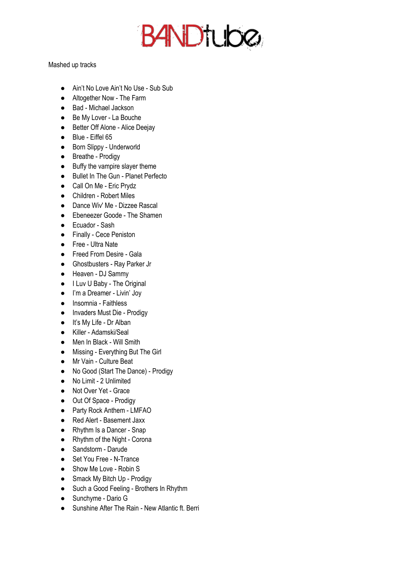**BANDTUDO** 

Mashed up tracks

- Ain't No Love Ain't No Use Sub Sub
- Altogether Now The Farm
- Bad Michael Jackson
- Be My Lover La Bouche
- Better Off Alone Alice Deejay
- Blue Eiffel 65
- Born Slippy Underworld
- Breathe Prodigy
- Buffy the vampire slayer theme
- Bullet In The Gun Planet Perfecto
- Call On Me Eric Prydz
- Children Robert Miles
- Dance Wiv' Me Dizzee Rascal
- Ebeneezer Goode The Shamen
- Ecuador Sash
- Finally Cece Peniston
- Free Ultra Nate
- Freed From Desire Gala
- Ghostbusters Ray Parker Jr
- Heaven DJ Sammy
- I Luv U Baby The Original
- I'm a Dreamer Livin' Joy
- Insomnia Faithless
- Invaders Must Die Prodigy
- It's My Life Dr Alban
- Killer Adamski/Seal
- Men In Black Will Smith
- Missing Everything But The Girl
- Mr Vain Culture Beat
- No Good (Start The Dance) Prodigy
- No Limit 2 Unlimited
- Not Over Yet Grace
- Out Of Space Prodigy
- Party Rock Anthem LMFAO
- Red Alert Basement Jaxx
- Rhythm Is a Dancer Snap
- Rhythm of the Night Corona
- Sandstorm Darude
- Set You Free N-Trance
- Show Me Love Robin S
- Smack My Bitch Up Prodigy
- Such a Good Feeling Brothers In Rhythm
- Sunchyme Dario G
- Sunshine After The Rain New Atlantic ft. Berri